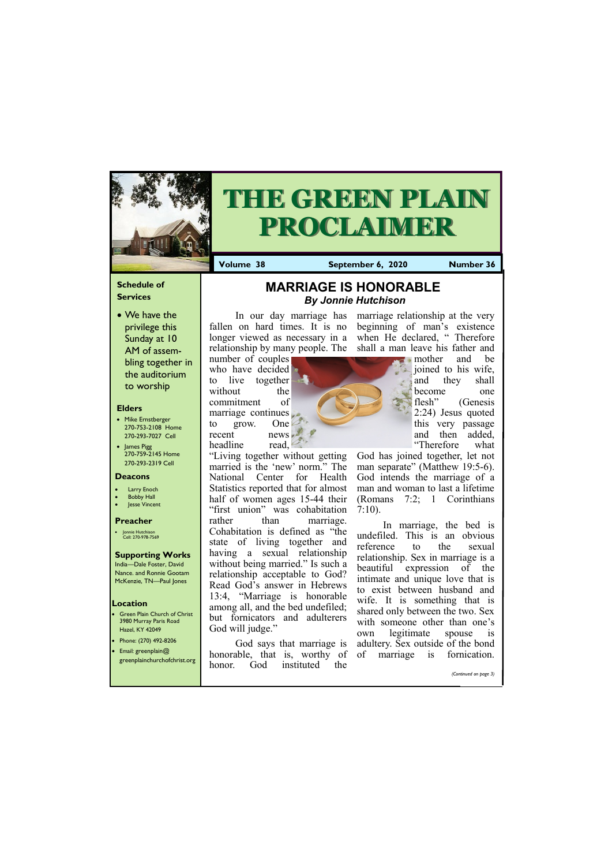## **Schedule of Services**

• We have the privilege this Sunday at 10 AM of assembling together in the auditorium to worship

## **Elders**

- **Green Plain Church of Christ** 3980 Murray Paris Road Hazel, KY 42049
- Phone: (270) 492-8206 • Email: greenplain@
- 
- Mike Ernstberger 270-753-2108 Home 270-293-7027 Cell
- James Pigg 270-759-2145 Home 270-293-2319 Cell

## **Location**

number of couples who have decided to live together without the commitment of marriage continues to grow. One recent news headline read,



# **THE GREEN PLAIN PROCLAIMER**

**Volume 38 September 6, 2020 Number 36**

#### **Deacons**

- **Larry Enoch**
- **Bobby Hall**
- **Jesse Vincent**

## **Preacher**

• Jonnie Hutchison Cell: 270-978-7569

# **Supporting Works**

India—Dale Foster, David Nance. and Ronnie Gootam McKenzie, TN—Paul Jones

marriage relationship at the very beginning of man's existence when He declared, "Therefore

In our day marriage has fallen on hard times. It is no longer viewed as necessary in a relationship by many people. The shall a man leave his father and

"Living together without getting married is the 'new' norm." The National Center for Health Statistics reported that for almost half of women ages 15-44 their "first union" was cohabitation rather than marriage. Cohabitation is defined as "the state of living together and having a sexual relationship without being married." Is such a relationship acceptable to God? Read God's answer in Hebrews 13:4, "Marriage is honorable among all, and the bed undefiled; but fornicators and adulterers God will judge."

| greenplainchurchofchrist.org |        |     | honorable, that is, worthy of or |     | птантарс | 15 | TOHIICAHOII.          |
|------------------------------|--------|-----|----------------------------------|-----|----------|----|-----------------------|
|                              | honor. | God | instituted                       | the |          |    |                       |
|                              |        |     |                                  |     |          |    | (Continued on page 3) |
|                              |        |     |                                  |     |          |    |                       |

God says that marriage is honorable, that is, worthy of



mother and be joined to his wife, and they shall become one flesh" (Genesis 2:24) Jesus quoted this very passage and then added, "Therefore what

God has joined together, let not man separate" (Matthew 19:5-6). God intends the marriage of a man and woman to last a lifetime (Romans 7:2; 1 Corinthians 7:10).

In marriage, the bed is undefiled. This is an obvious reference to the sexual relationship. Sex in marriage is a beautiful expression of the intimate and unique love that is to exist between husband and wife. It is something that is shared only between the two. Sex with someone other than one's own legitimate spouse is adultery. Sex outside of the bond of marriage is fornication.

# **MARRIAGE IS HONORABLE**  *By Jonnie Hutchison*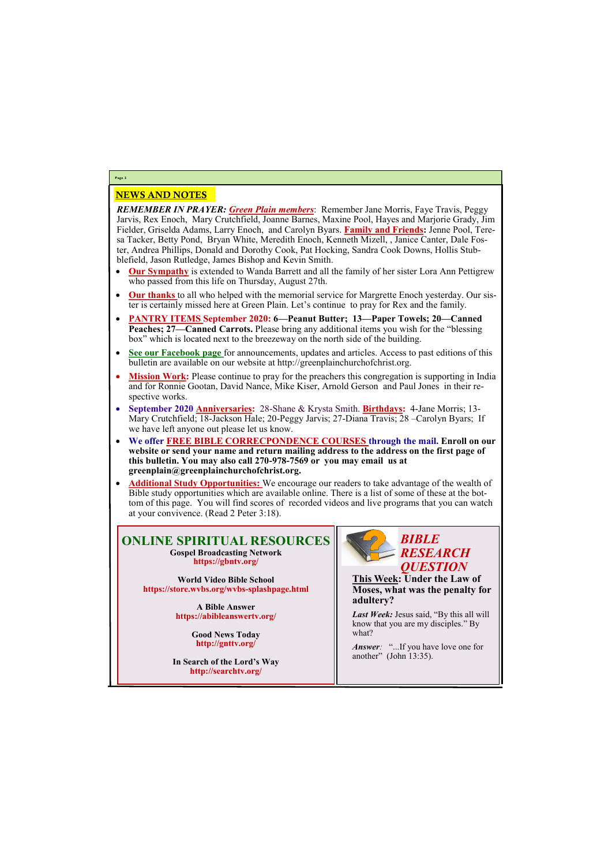## NEWS AND NOTES

*REMEMBER IN PRAYER: Green Plain members*: Remember Jane Morris, Faye Travis, Peggy Jarvis, Rex Enoch, Mary Crutchfield, Joanne Barnes, Maxine Pool, Hayes and Marjorie Grady, Jim Fielder, Griselda Adams, Larry Enoch, and Carolyn Byars. **Family and Friends:** Jenne Pool, Teresa Tacker, Betty Pond, Bryan White, Meredith Enoch, Kenneth Mizell, , Janice Canter, Dale Foster, Andrea Phillips, Donald and Dorothy Cook, Pat Hocking, Sandra Cook Downs, Hollis Stubblefield, Jason Rutledge, James Bishop and Kevin Smith.

- **Our Sympathy** is extended to Wanda Barrett and all the family of her sister Lora Ann Pettigrew who passed from this life on Thursday, August 27th.
- **Our thanks** to all who helped with the memorial service for Margrette Enoch yesterday. Our sister is certainly missed here at Green Plain. Let's continue to pray for Rex and the family.
- **PANTRY ITEMS September 2020: 6—Peanut Butter; 13—Paper Towels; 20—Canned Peaches; 27—Canned Carrots.** Please bring any additional items you wish for the "blessing box" which is located next to the breezeway on the north side of the building.
- **See our Facebook page** for announcements, updates and articles. Access to past editions of this bulletin are available on our website at http://greenplainchurchofchrist.org.
- Mission Work: Please continue to pray for the preachers this congregation is supporting in India and for Ronnie Gootan, David Nance, Mike Kiser, Arnold Gerson and Paul Jones in their respective works.
- **September 2020 Anniversaries:** 28-Shane & Krysta Smith. **Birthdays:** 4-Jane Morris; 13- Mary Crutchfield; 18-Jackson Hale; 20-Peggy Jarvis; 27-Diana Travis; 28 –Carolyn Byars; If we have left anyone out please let us know.
- **We offer FREE BIBLE CORRECPONDENCE COURSES through the mail. Enroll on our website or send your name and return mailing address to the address on the first page of this bulletin. You may also call 270-978-7569 or you may email us at greenplain@greenplainchurchofchrist.org.**
- **Additional Study Opportunities:** We encourage our readers to take advantage of the wealth of Bible study opportunities which are available online. There is a list of some of these at the bottom of this page. You will find scores of recorded videos and live programs that you can watch at your convivence. (Read 2 Peter 3:18).

# **Page 2**

**ONLINE SPIRITUAL RESOURCES Gospel Broadcasting Network https://gbntv.org/**

**World Video Bible School https://store.wvbs.org/wvbs-splashpage.html**

> **A Bible Answer https://abibleanswertv.org/**

> > **Good News Today http://gnttv.org/**

**In Search of the Lord's Way http://searchtv.org/**



**This Week: Under the Law of Moses, what was the penalty for adultery?**

*Last Week:* Jesus said, "By this all will know that you are my disciples." By what?

*Answer:* "...If you have love one for

another" (John 13:35).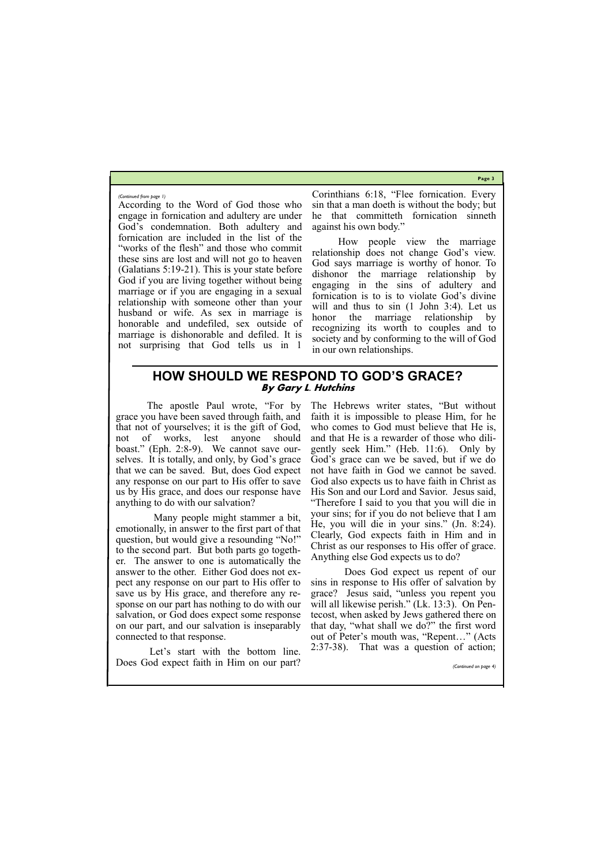**Page 3**

According to the Word of God those who engage in fornication and adultery are under God's condemnation. Both adultery and fornication are included in the list of the "works of the flesh" and those who commit these sins are lost and will not go to heaven (Galatians 5:19-21). This is your state before God if you are living together without being marriage or if you are engaging in a sexual relationship with someone other than your husband or wife. As sex in marriage is honorable and undefiled, sex outside of marriage is dishonorable and defiled. It is not surprising that God tells us in 1

Corinthians 6:18, "Flee fornication. Every sin that a man doeth is without the body; but he that committeth fornication sinneth against his own body."

How people view the marriage relationship does not change God's view. God says marriage is worthy of honor. To dishonor the marriage relationship by engaging in the sins of adultery and fornication is to is to violate God's divine will and thus to sin  $(1$  John 3:4). Let us honor the marriage relationship by recognizing its worth to couples and to society and by conforming to the will of God in our own relationships.

#### *(Continued from page 1)*

## **HOW SHOULD WE RESPOND TO GOD'S GRACE? By Gary L. Hutchins**

 The apostle Paul wrote, "For by grace you have been saved through faith, and that not of yourselves; it is the gift of God, not of works, lest anyone should boast." (Eph. 2:8-9). We cannot save ourselves. It is totally, and only, by God's grace that we can be saved. But, does God expect any response on our part to His offer to save us by His grace, and does our response have anything to do with our salvation?

 Many people might stammer a bit, emotionally, in answer to the first part of that question, but would give a resounding "No!" to the second part. But both parts go together. The answer to one is automatically the answer to the other. Either God does not expect any response on our part to His offer to save us by His grace, and therefore any response on our part has nothing to do with our salvation, or God does expect some response on our part, and our salvation is inseparably connected to that response.

 Let's start with the bottom line. Does God expect faith in Him on our part? The Hebrews writer states, "But without faith it is impossible to please Him, for he who comes to God must believe that He is, and that He is a rewarder of those who diligently seek Him." (Heb. 11:6). Only by God's grace can we be saved, but if we do not have faith in God we cannot be saved. God also expects us to have faith in Christ as His Son and our Lord and Savior. Jesus said, "Therefore I said to you that you will die in your sins; for if you do not believe that I am He, you will die in your sins." (Jn. 8:24). Clearly, God expects faith in Him and in Christ as our responses to His offer of grace. Anything else God expects us to do?

 Does God expect us repent of our sins in response to His offer of salvation by grace? Jesus said, "unless you repent you will all likewise perish." (Lk. 13:3). On Pentecost, when asked by Jews gathered there on that day, "what shall we do?" the first word out of Peter's mouth was, "Repent…" (Acts 2:37-38). That was a question of action;

*(Continued on page 4)*